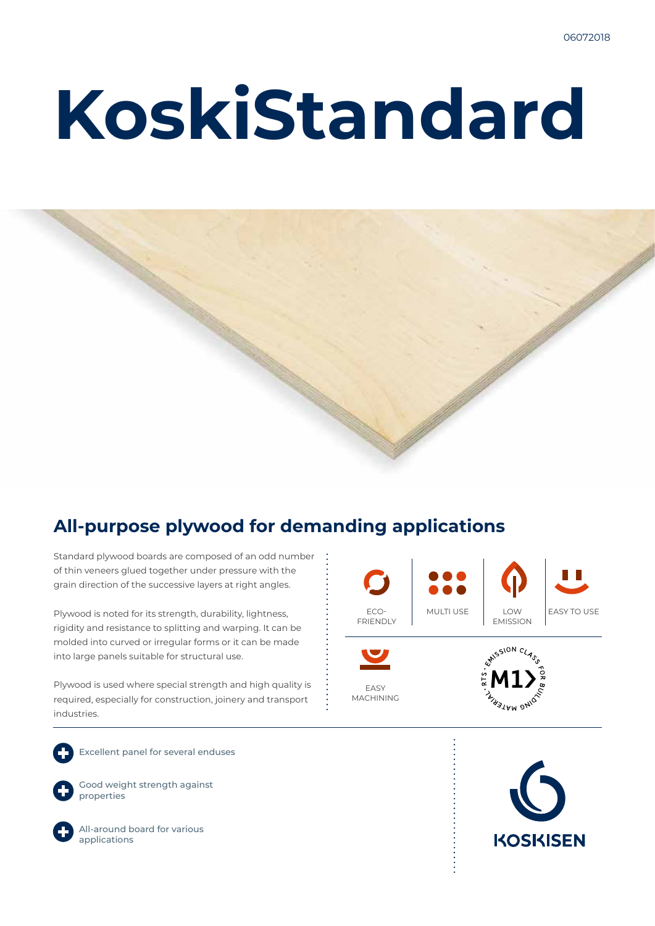# **KoskiStandard**



### **All-purpose plywood for demanding applications**

Standard plywood boards are composed of an odd number of thin veneers glued together under pressure with the grain direction of the successive layers at right angles.

Plywood is noted for its strength, durability, lightness, rigidity and resistance to splitting and warping. It can be molded into curved or irregular forms or it can be made into large panels suitable for structural use.

Plywood is used where special strength and high quality is required, especially for construction, joinery and transport industries.



EASY MACHINING



Excellent panel for several enduses



Good weight strength against properties



All-around board for various applications